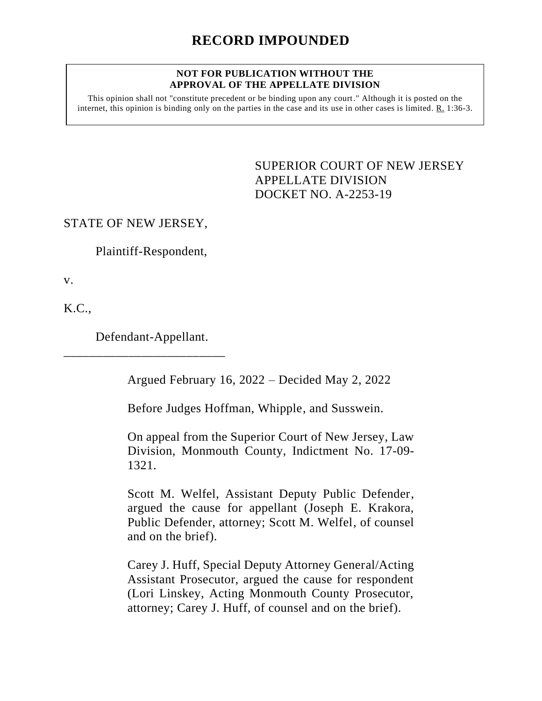#### **NOT FOR PUBLICATION WITHOUT THE APPROVAL OF THE APPELLATE DIVISION**

This opinion shall not "constitute precedent or be binding upon any court." Although it is posted on the internet, this opinion is binding only on the parties in the case and its use in other cases is limited.  $R_1$  1:36-3.

> <span id="page-0-0"></span>SUPERIOR COURT OF NEW JERSEY APPELLATE DIVISION DOCKET NO. A-2253-19

# STATE OF NEW JERSEY,

Plaintiff-Respondent,

v.

K.C.,

Defendant-Appellant.

\_\_\_\_\_\_\_\_\_\_\_\_\_\_\_\_\_\_\_\_\_\_\_\_\_

Argued February 16, 2022 – Decided May 2, 2022

Before Judges Hoffman, Whipple, and Susswein.

On appeal from the Superior Court of New Jersey, Law Division, Monmouth County, Indictment No. 17-09- 1321.

Scott M. Welfel, Assistant Deputy Public Defender, argued the cause for appellant (Joseph E. Krakora, Public Defender, attorney; Scott M. Welfel, of counsel and on the brief).

Carey J. Huff, Special Deputy Attorney General/Acting Assistant Prosecutor, argued the cause for respondent (Lori Linskey, Acting Monmouth County Prosecutor, attorney; Carey J. Huff, of counsel and on the brief).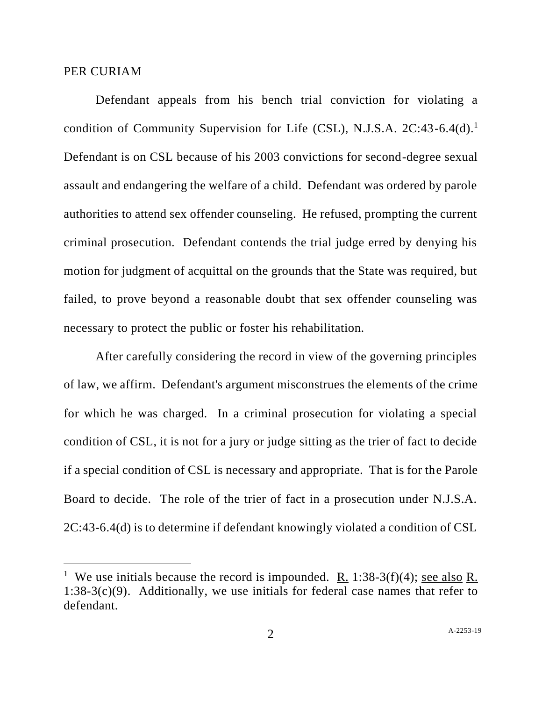#### PER CURIAM

Defendant appeals from his bench trial conviction for violating a condition of Community Supervision for Life  $(CSL)$ , N.J.S.A.  $2C:43-6.4(d).$ <sup>1</sup> Defendant is on CSL because of his 2003 convictions for second-degree sexual assault and endangering the welfare of a child. Defendant was ordered by parole authorities to attend sex offender counseling. He refused, prompting the current criminal prosecution. Defendant contends the trial judge erred by denying his motion for judgment of acquittal on the grounds that the State was required, but failed, to prove beyond a reasonable doubt that sex offender counseling was necessary to protect the public or foster his rehabilitation.

After carefully considering the record in view of the governing principles of law, we affirm. Defendant's argument misconstrues the elements of the crime for which he was charged. In a criminal prosecution for violating a special condition of CSL, it is not for a jury or judge sitting as the trier of fact to decide if a special condition of CSL is necessary and appropriate. That is for the Parole Board to decide. The role of the trier of fact in a prosecution under N.J.S.A. 2C:43-6.4(d) is to determine if defendant knowingly violated a condition of CSL

<sup>&</sup>lt;sup>1</sup> We use initials because the record is impounded. <u>R.</u> 1:38-3(f)(4); <u>see also</u> R.  $1:38-3(c)(9)$ . Additionally, we use initials for federal case names that refer to defendant.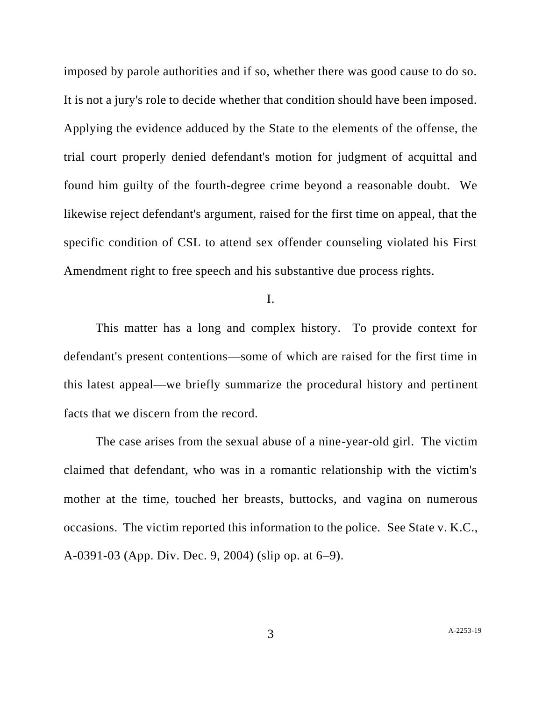imposed by parole authorities and if so, whether there was good cause to do so. It is not a jury's role to decide whether that condition should have been imposed. Applying the evidence adduced by the State to the elements of the offense, the trial court properly denied defendant's motion for judgment of acquittal and found him guilty of the fourth-degree crime beyond a reasonable doubt. We likewise reject defendant's argument, raised for the first time on appeal, that the specific condition of CSL to attend sex offender counseling violated his First Amendment right to free speech and his substantive due process rights.

I.

This matter has a long and complex history. To provide context for defendant's present contentions—some of which are raised for the first time in this latest appeal—we briefly summarize the procedural history and pertinent facts that we discern from the record.

The case arises from the sexual abuse of a nine-year-old girl. The victim claimed that defendant, who was in a romantic relationship with the victim's mother at the time, touched her breasts, buttocks, and vagina on numerous occasions. The victim reported this information to the police. See State v. K.C., A-0391-03 (App. Div. Dec. 9, 2004) (slip op. at 6–9).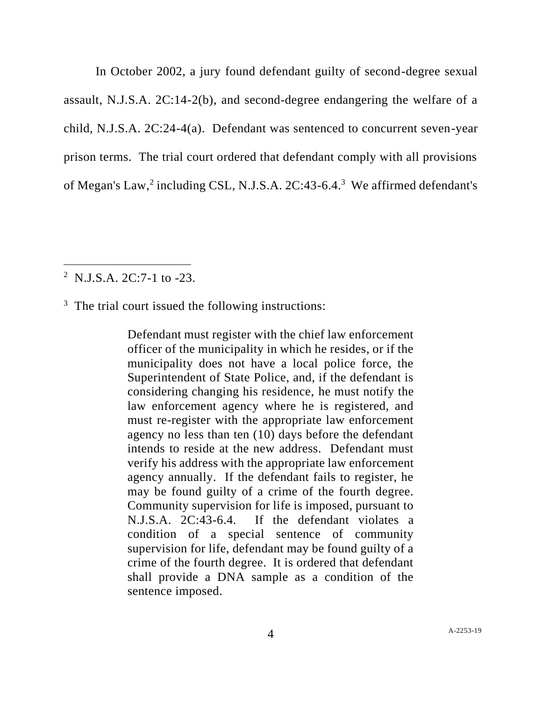In October 2002, a jury found defendant guilty of second-degree sexual assault, N.J.S.A. 2C:14-2(b), and second-degree endangering the welfare of a child, N.J.S.A. 2C:24-4(a). Defendant was sentenced to concurrent seven-year prison terms. The trial court ordered that defendant comply with all provisions of Megan's Law,<sup>2</sup> including CSL, N.J.S.A.  $2C:43-6.4$ .<sup>3</sup> We affirmed defendant's

<sup>2</sup> N.J.S.A. 2C:7-1 to -23.

<sup>3</sup> The trial court issued the following instructions:

Defendant must register with the chief law enforcement officer of the municipality in which he resides, or if the municipality does not have a local police force, the Superintendent of State Police, and, if the defendant is considering changing his residence, he must notify the law enforcement agency where he is registered, and must re-register with the appropriate law enforcement agency no less than ten (10) days before the defendant intends to reside at the new address. Defendant must verify his address with the appropriate law enforcement agency annually. If the defendant fails to register, he may be found guilty of a crime of the fourth degree. Community supervision for life is imposed, pursuant to N.J.S.A. 2C:43-6.4. If the defendant violates a condition of a special sentence of community supervision for life, defendant may be found guilty of a crime of the fourth degree. It is ordered that defendant shall provide a DNA sample as a condition of the sentence imposed.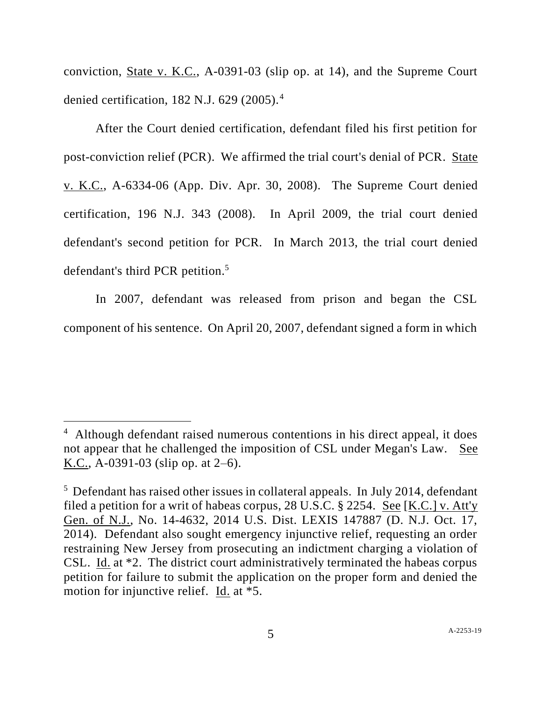conviction, State v. K.C., A-0391-03 (slip op. at 14), and the Supreme Court denied certification, 182 N.J. 629 (2005).<sup>4</sup>

After the Court denied certification, defendant filed his first petition for post-conviction relief (PCR). We affirmed the trial court's denial of PCR. State v. K.C., A-6334-06 (App. Div. Apr. 30, 2008). The Supreme Court denied certification, 196 N.J. 343 (2008). In April 2009, the trial court denied defendant's second petition for PCR. In March 2013, the trial court denied defendant's third PCR petition. 5

In 2007, defendant was released from prison and began the CSL component of his sentence. On April 20, 2007, defendant signed a form in which

<sup>&</sup>lt;sup>4</sup> Although defendant raised numerous contentions in his direct appeal, it does not appear that he challenged the imposition of CSL under Megan's Law. See K.C., A-0391-03 (slip op. at  $2-6$ ).

<sup>&</sup>lt;sup>5</sup> Defendant has raised other issues in collateral appeals. In July 2014, defendant filed a petition for a writ of habeas corpus, 28 U.S.C. § 2254. See [K.C.] v. Att'y Gen. of N.J., No. 14-4632, 2014 U.S. Dist. LEXIS 147887 (D. N.J. Oct. 17, 2014). Defendant also sought emergency injunctive relief, requesting an order restraining New Jersey from prosecuting an indictment charging a violation of CSL. Id. at \*2. The district court administratively terminated the habeas corpus petition for failure to submit the application on the proper form and denied the motion for injunctive relief. Id. at \*5.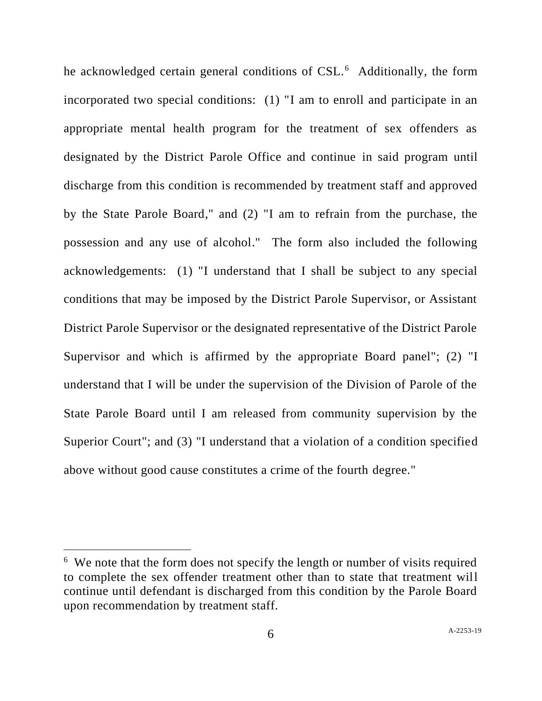he acknowledged certain general conditions of CSL.<sup>6</sup> Additionally, the form incorporated two special conditions: (1) "I am to enroll and participate in an appropriate mental health program for the treatment of sex offenders as designated by the District Parole Office and continue in said program until discharge from this condition is recommended by treatment staff and approved by the State Parole Board," and (2) "I am to refrain from the purchase, the possession and any use of alcohol." The form also included the following acknowledgements: (1) "I understand that I shall be subject to any special conditions that may be imposed by the District Parole Supervisor, or Assistant District Parole Supervisor or the designated representative of the District Parole Supervisor and which is affirmed by the appropriate Board panel"; (2) "I understand that I will be under the supervision of the Division of Parole of the State Parole Board until I am released from community supervision by the Superior Court"; and (3) "I understand that a violation of a condition specified above without good cause constitutes a crime of the fourth degree."

<sup>&</sup>lt;sup>6</sup> We note that the form does not specify the length or number of visits required to complete the sex offender treatment other than to state that treatment will continue until defendant is discharged from this condition by the Parole Board upon recommendation by treatment staff.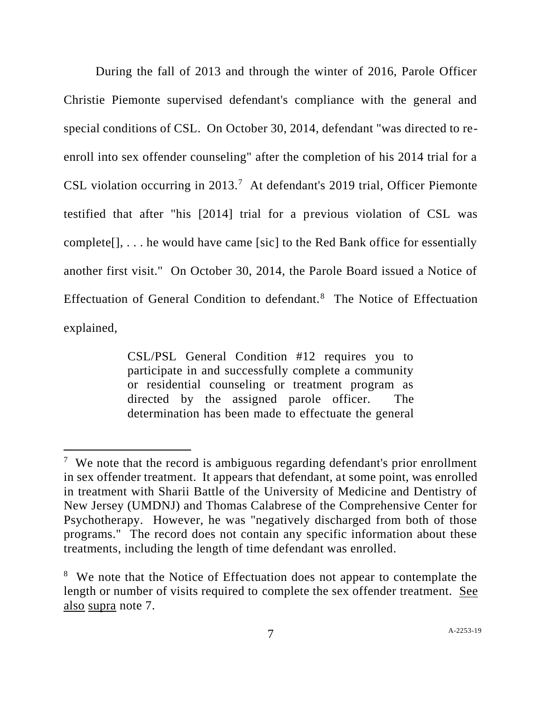During the fall of 2013 and through the winter of 2016, Parole Officer Christie Piemonte supervised defendant's compliance with the general and special conditions of CSL. On October 30, 2014, defendant "was directed to reenroll into sex offender counseling" after the completion of his 2014 trial for a CSL violation occurring in 2013.<sup>7</sup> At defendant's 2019 trial, Officer Piemonte testified that after "his [2014] trial for a previous violation of CSL was complete[], . . . he would have came [sic] to the Red Bank office for essentially another first visit." On October 30, 2014, the Parole Board issued a Notice of Effectuation of General Condition to defendant.<sup>8</sup> The Notice of Effectuation explained,

> CSL/PSL General Condition #12 requires you to participate in and successfully complete a community or residential counseling or treatment program as directed by the assigned parole officer. The determination has been made to effectuate the general

<sup>&</sup>lt;sup>7</sup> We note that the record is ambiguous regarding defendant's prior enrollment in sex offender treatment. It appears that defendant, at some point, was enrolled in treatment with Sharii Battle of the University of Medicine and Dentistry of New Jersey (UMDNJ) and Thomas Calabrese of the Comprehensive Center for Psychotherapy. However, he was "negatively discharged from both of those programs." The record does not contain any specific information about these treatments, including the length of time defendant was enrolled.

<sup>&</sup>lt;sup>8</sup> We note that the Notice of Effectuation does not appear to contemplate the length or number of visits required to complete the sex offender treatment. See also supra note 7.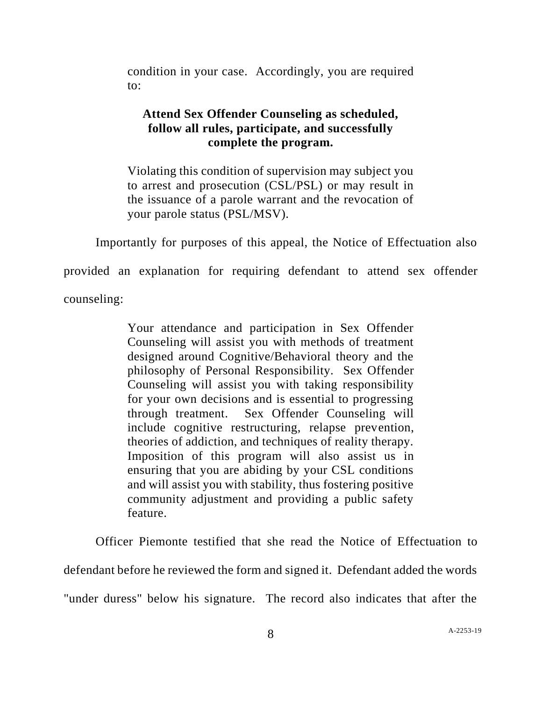condition in your case. Accordingly, you are required to:

# **Attend Sex Offender Counseling as scheduled, follow all rules, participate, and successfully complete the program.**

Violating this condition of supervision may subject you to arrest and prosecution (CSL/PSL) or may result in the issuance of a parole warrant and the revocation of your parole status (PSL/MSV).

Importantly for purposes of this appeal, the Notice of Effectuation also

provided an explanation for requiring defendant to attend sex offender

counseling:

Your attendance and participation in Sex Offender Counseling will assist you with methods of treatment designed around Cognitive/Behavioral theory and the philosophy of Personal Responsibility. Sex Offender Counseling will assist you with taking responsibility for your own decisions and is essential to progressing through treatment. Sex Offender Counseling will include cognitive restructuring, relapse prevention, theories of addiction, and techniques of reality therapy. Imposition of this program will also assist us in ensuring that you are abiding by your CSL conditions and will assist you with stability, thus fostering positive community adjustment and providing a public safety feature.

Officer Piemonte testified that she read the Notice of Effectuation to defendant before he reviewed the form and signed it. Defendant added the words "under duress" below his signature. The record also indicates that after the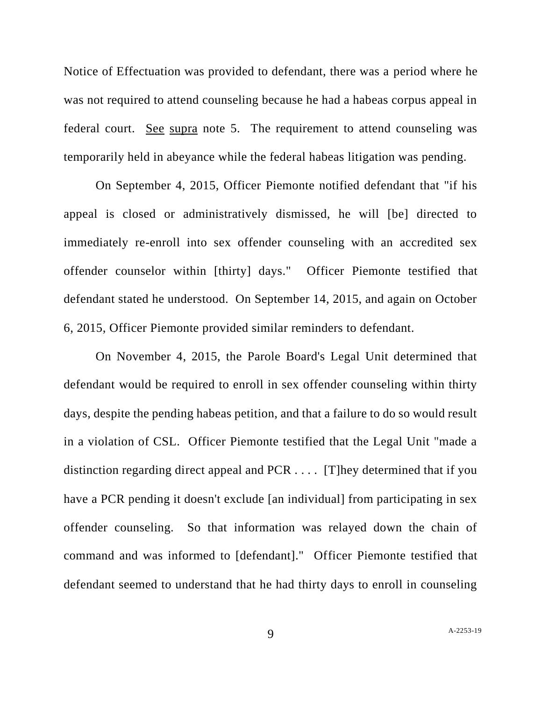Notice of Effectuation was provided to defendant, there was a period where he was not required to attend counseling because he had a habeas corpus appeal in federal court. See supra note 5. The requirement to attend counseling was temporarily held in abeyance while the federal habeas litigation was pending.

On September 4, 2015, Officer Piemonte notified defendant that "if his appeal is closed or administratively dismissed, he will [be] directed to immediately re-enroll into sex offender counseling with an accredited sex offender counselor within [thirty] days." Officer Piemonte testified that defendant stated he understood. On September 14, 2015, and again on October 6, 2015, Officer Piemonte provided similar reminders to defendant.

On November 4, 2015, the Parole Board's Legal Unit determined that defendant would be required to enroll in sex offender counseling within thirty days, despite the pending habeas petition, and that a failure to do so would result in a violation of CSL. Officer Piemonte testified that the Legal Unit "made a distinction regarding direct appeal and PCR . . . . [T]hey determined that if you have a PCR pending it doesn't exclude [an individual] from participating in sex offender counseling. So that information was relayed down the chain of command and was informed to [defendant]." Officer Piemonte testified that defendant seemed to understand that he had thirty days to enroll in counseling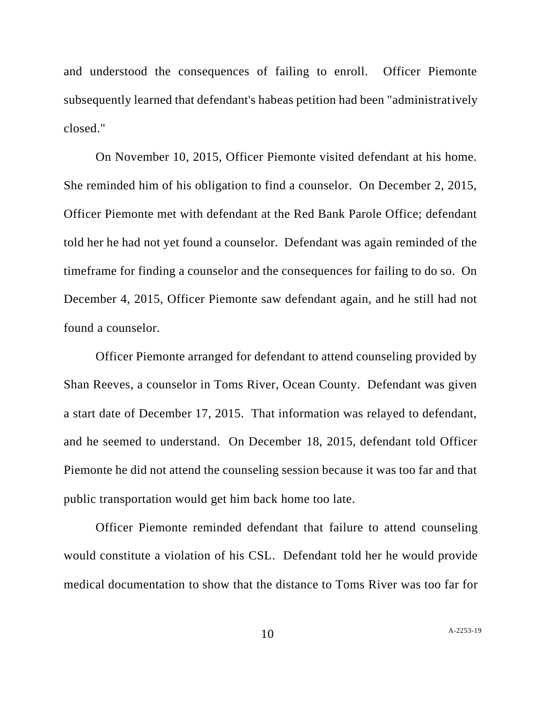and understood the consequences of failing to enroll. Officer Piemonte subsequently learned that defendant's habeas petition had been "administratively closed."

On November 10, 2015, Officer Piemonte visited defendant at his home. She reminded him of his obligation to find a counselor. On December 2, 2015, Officer Piemonte met with defendant at the Red Bank Parole Office; defendant told her he had not yet found a counselor. Defendant was again reminded of the timeframe for finding a counselor and the consequences for failing to do so. On December 4, 2015, Officer Piemonte saw defendant again, and he still had not found a counselor.

Officer Piemonte arranged for defendant to attend counseling provided by Shan Reeves, a counselor in Toms River, Ocean County. Defendant was given a start date of December 17, 2015. That information was relayed to defendant, and he seemed to understand. On December 18, 2015, defendant told Officer Piemonte he did not attend the counseling session because it was too far and that public transportation would get him back home too late.

Officer Piemonte reminded defendant that failure to attend counseling would constitute a violation of his CSL. Defendant told her he would provide medical documentation to show that the distance to Toms River was too far for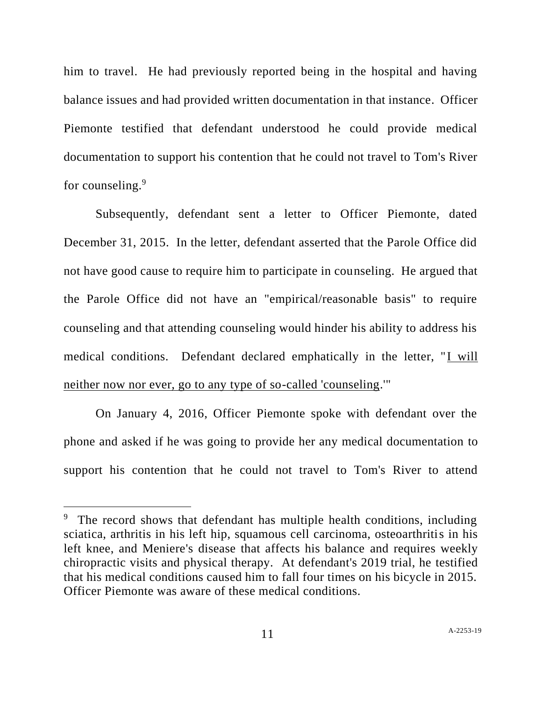him to travel. He had previously reported being in the hospital and having balance issues and had provided written documentation in that instance. Officer Piemonte testified that defendant understood he could provide medical documentation to support his contention that he could not travel to Tom's River for counseling.<sup>9</sup>

Subsequently, defendant sent a letter to Officer Piemonte, dated December 31, 2015. In the letter, defendant asserted that the Parole Office did not have good cause to require him to participate in counseling. He argued that the Parole Office did not have an "empirical/reasonable basis" to require counseling and that attending counseling would hinder his ability to address his medical conditions. Defendant declared emphatically in the letter, "I will neither now nor ever, go to any type of so-called 'counseling.'"

On January 4, 2016, Officer Piemonte spoke with defendant over the phone and asked if he was going to provide her any medical documentation to support his contention that he could not travel to Tom's River to attend

<sup>&</sup>lt;sup>9</sup> The record shows that defendant has multiple health conditions, including sciatica, arthritis in his left hip, squamous cell carcinoma, osteoarthritis in his left knee, and Meniere's disease that affects his balance and requires weekly chiropractic visits and physical therapy. At defendant's 2019 trial, he testified that his medical conditions caused him to fall four times on his bicycle in 2015. Officer Piemonte was aware of these medical conditions.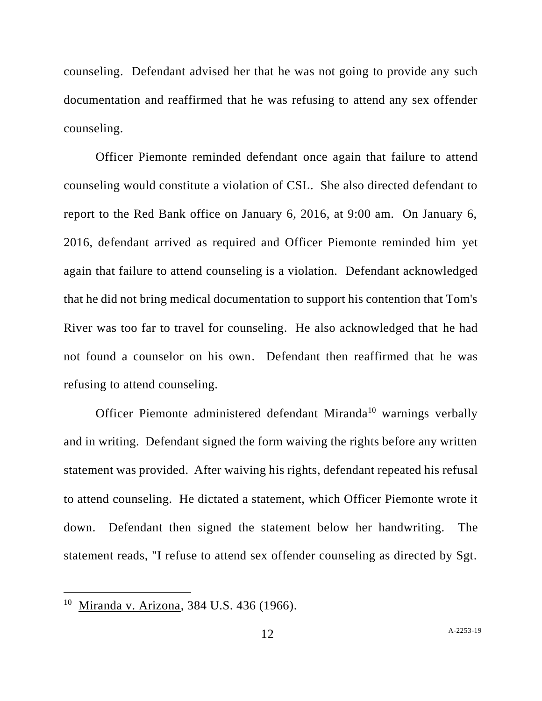counseling. Defendant advised her that he was not going to provide any such documentation and reaffirmed that he was refusing to attend any sex offender counseling.

Officer Piemonte reminded defendant once again that failure to attend counseling would constitute a violation of CSL. She also directed defendant to report to the Red Bank office on January 6, 2016, at 9:00 am. On January 6, 2016, defendant arrived as required and Officer Piemonte reminded him yet again that failure to attend counseling is a violation. Defendant acknowledged that he did not bring medical documentation to support his contention that Tom's River was too far to travel for counseling. He also acknowledged that he had not found a counselor on his own. Defendant then reaffirmed that he was refusing to attend counseling.

Officer Piemonte administered defendant Miranda<sup>10</sup> warnings verbally and in writing. Defendant signed the form waiving the rights before any written statement was provided. After waiving his rights, defendant repeated his refusal to attend counseling. He dictated a statement, which Officer Piemonte wrote it down. Defendant then signed the statement below her handwriting. The statement reads, "I refuse to attend sex offender counseling as directed by Sgt.

<sup>&</sup>lt;sup>10</sup> Miranda v. Arizona, 384 U.S. 436 (1966).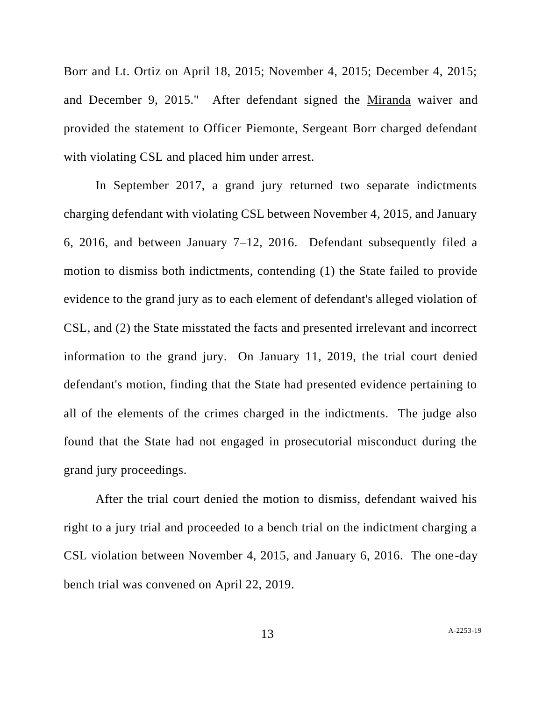Borr and Lt. Ortiz on April 18, 2015; November 4, 2015; December 4, 2015; and December 9, 2015." After defendant signed the Miranda waiver and provided the statement to Officer Piemonte, Sergeant Borr charged defendant with violating CSL and placed him under arrest.

In September 2017, a grand jury returned two separate indictments charging defendant with violating CSL between November 4, 2015, and January 6, 2016, and between January 7–12, 2016. Defendant subsequently filed a motion to dismiss both indictments, contending (1) the State failed to provide evidence to the grand jury as to each element of defendant's alleged violation of CSL, and (2) the State misstated the facts and presented irrelevant and incorrect information to the grand jury. On January 11, 2019, the trial court denied defendant's motion, finding that the State had presented evidence pertaining to all of the elements of the crimes charged in the indictments. The judge also found that the State had not engaged in prosecutorial misconduct during the grand jury proceedings.

After the trial court denied the motion to dismiss, defendant waived his right to a jury trial and proceeded to a bench trial on the indictment charging a CSL violation between November 4, 2015, and January 6, 2016. The one-day bench trial was convened on April 22, 2019.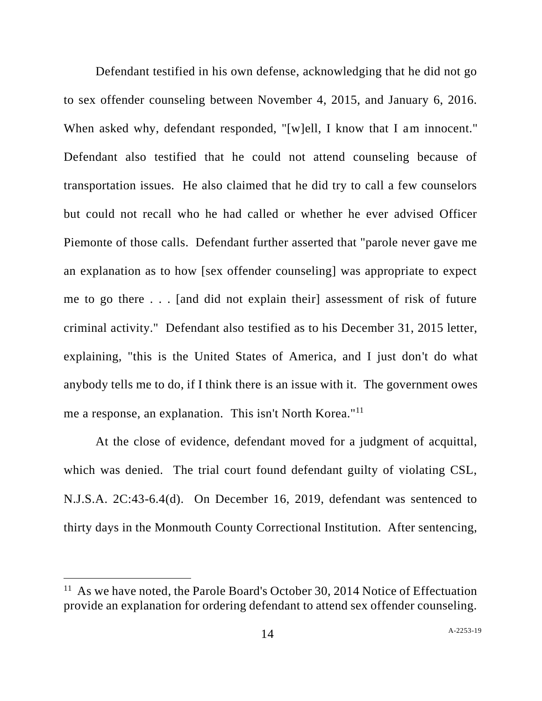Defendant testified in his own defense, acknowledging that he did not go to sex offender counseling between November 4, 2015, and January 6, 2016. When asked why, defendant responded, "[w]ell, I know that I am innocent." Defendant also testified that he could not attend counseling because of transportation issues. He also claimed that he did try to call a few counselors but could not recall who he had called or whether he ever advised Officer Piemonte of those calls. Defendant further asserted that "parole never gave me an explanation as to how [sex offender counseling] was appropriate to expect me to go there . . . [and did not explain their] assessment of risk of future criminal activity." Defendant also testified as to his December 31, 2015 letter, explaining, "this is the United States of America, and I just don't do what anybody tells me to do, if I think there is an issue with it. The government owes me a response, an explanation. This isn't North Korea."<sup>11</sup>

At the close of evidence, defendant moved for a judgment of acquittal, which was denied. The trial court found defendant guilty of violating CSL, N.J.S.A. 2C:43-6.4(d). On December 16, 2019, defendant was sentenced to thirty days in the Monmouth County Correctional Institution. After sentencing,

<sup>&</sup>lt;sup>11</sup> As we have noted, the Parole Board's October 30, 2014 Notice of Effectuation provide an explanation for ordering defendant to attend sex offender counseling.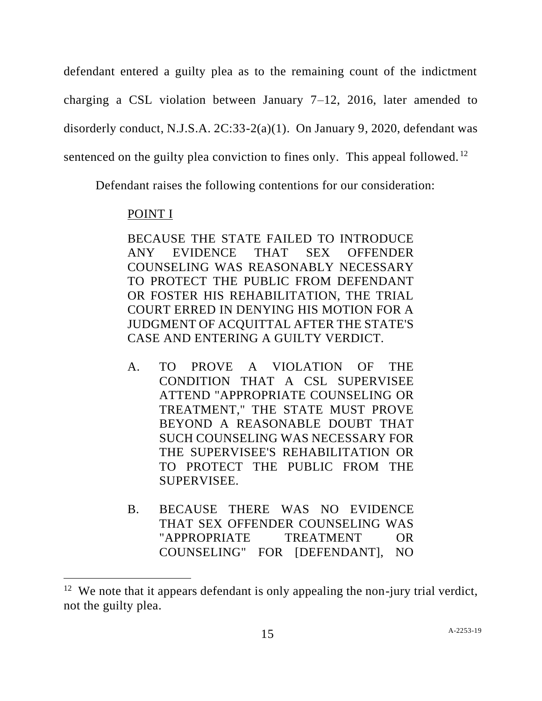defendant entered a guilty plea as to the remaining count of the indictment charging a CSL violation between January 7–12, 2016, later amended to disorderly conduct, N.J.S.A. 2C:33-2(a)(1). On January 9, 2020, defendant was sentenced on the guilty plea conviction to fines only. This appeal followed.<sup>12</sup>

Defendant raises the following contentions for our consideration:

# POINT I

BECAUSE THE STATE FAILED TO INTRODUCE ANY EVIDENCE THAT SEX OFFENDER COUNSELING WAS REASONABLY NECESSARY TO PROTECT THE PUBLIC FROM DEFENDANT OR FOSTER HIS REHABILITATION, THE TRIAL COURT ERRED IN DENYING HIS MOTION FOR A JUDGMENT OF ACQUITTAL AFTER THE STATE'S CASE AND ENTERING A GUILTY VERDICT.

- A. TO PROVE A VIOLATION OF THE CONDITION THAT A CSL SUPERVISEE ATTEND "APPROPRIATE COUNSELING OR TREATMENT," THE STATE MUST PROVE BEYOND A REASONABLE DOUBT THAT SUCH COUNSELING WAS NECESSARY FOR THE SUPERVISEE'S REHABILITATION OR TO PROTECT THE PUBLIC FROM THE SUPERVISEE.
- B. BECAUSE THERE WAS NO EVIDENCE THAT SEX OFFENDER COUNSELING WAS "APPROPRIATE TREATMENT OR COUNSELING" FOR [DEFENDANT], NO

<sup>&</sup>lt;sup>12</sup> We note that it appears defendant is only appealing the non-jury trial verdict, not the guilty plea.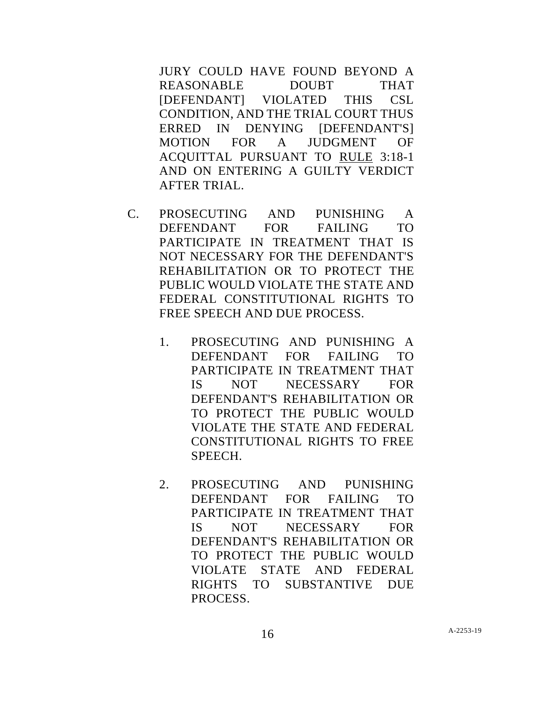JURY COULD HAVE FOUND BEYOND A REASONABLE DOUBT THAT [DEFENDANT] VIOLATED THIS CSL CONDITION, AND THE TRIAL COURT THUS ERRED IN DENYING [DEFENDANT'S] MOTION FOR A JUDGMENT OF ACQUITTAL PURSUANT TO RULE 3:18-1 AND ON ENTERING A GUILTY VERDICT AFTER TRIAL.

- C. PROSECUTING AND PUNISHING A DEFENDANT FOR FAILING TO PARTICIPATE IN TREATMENT THAT IS NOT NECESSARY FOR THE DEFENDANT'S REHABILITATION OR TO PROTECT THE PUBLIC WOULD VIOLATE THE STATE AND FEDERAL CONSTITUTIONAL RIGHTS TO FREE SPEECH AND DUE PROCESS.
	- 1. PROSECUTING AND PUNISHING A DEFENDANT FOR FAILING TO PARTICIPATE IN TREATMENT THAT IS NOT NECESSARY FOR DEFENDANT'S REHABILITATION OR TO PROTECT THE PUBLIC WOULD VIOLATE THE STATE AND FEDERAL CONSTITUTIONAL RIGHTS TO FREE SPEECH.
	- 2. PROSECUTING AND PUNISHING DEFENDANT FOR FAILING TO PARTICIPATE IN TREATMENT THAT IS NOT NECESSARY FOR DEFENDANT'S REHABILITATION OR TO PROTECT THE PUBLIC WOULD VIOLATE STATE AND FEDERAL RIGHTS TO SUBSTANTIVE DUE PROCESS.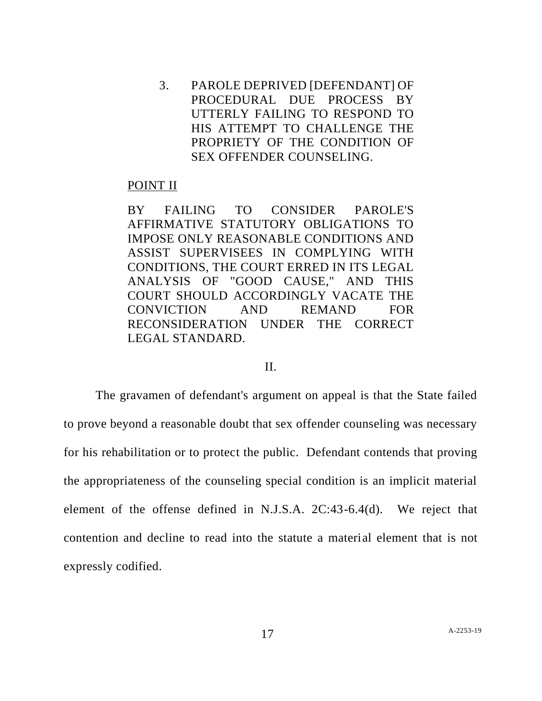3. PAROLE DEPRIVED [DEFENDANT] OF PROCEDURAL DUE PROCESS BY UTTERLY FAILING TO RESPOND TO HIS ATTEMPT TO CHALLENGE THE PROPRIETY OF THE CONDITION OF SEX OFFENDER COUNSELING.

#### POINT II

BY FAILING TO CONSIDER PAROLE'S AFFIRMATIVE STATUTORY OBLIGATIONS TO IMPOSE ONLY REASONABLE CONDITIONS AND ASSIST SUPERVISEES IN COMPLYING WITH CONDITIONS, THE COURT ERRED IN ITS LEGAL ANALYSIS OF "GOOD CAUSE," AND THIS COURT SHOULD ACCORDINGLY VACATE THE CONVICTION AND REMAND FOR RECONSIDERATION UNDER THE CORRECT LEGAL STANDARD.

## II.

The gravamen of defendant's argument on appeal is that the State failed to prove beyond a reasonable doubt that sex offender counseling was necessary for his rehabilitation or to protect the public. Defendant contends that proving the appropriateness of the counseling special condition is an implicit material element of the offense defined in N.J.S.A. 2C:43-6.4(d). We reject that contention and decline to read into the statute a material element that is not expressly codified.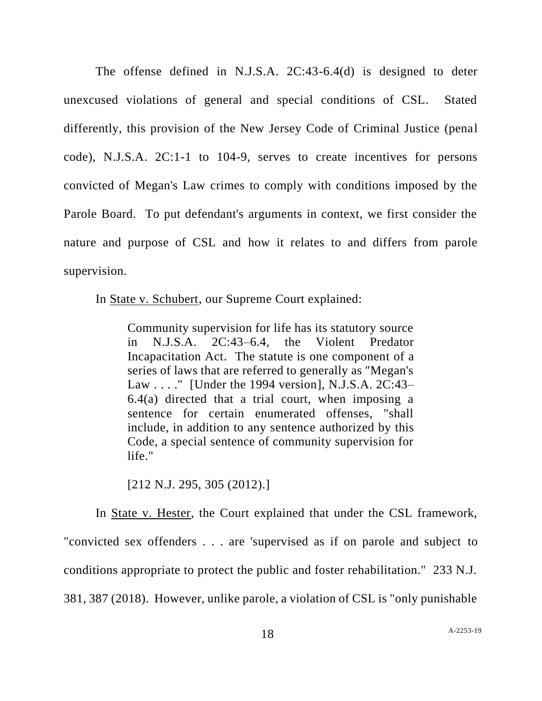The offense defined in N.J.S.A. 2C:43-6.4(d) is designed to deter unexcused violations of general and special conditions of CSL. Stated differently, this provision of the New Jersey Code of Criminal Justice (penal code), N.J.S.A. 2C:1-1 to 104-9, serves to create incentives for persons convicted of Megan's Law crimes to comply with conditions imposed by the Parole Board. To put defendant's arguments in context, we first consider the nature and purpose of CSL and how it relates to and differs from parole supervision.

In State v. Schubert, our Supreme Court explained:

Community supervision for life has its statutory source in N.J.S.A. 2C:43–6.4, the Violent Predator Incapacitation Act. The statute is one component of a series of laws that are referred to generally as "Megan's Law . . . ." [Under the 1994 version], N.J.S.A. 2C:43– 6.4(a) directed that a trial court, when imposing a sentence for certain enumerated offenses, "shall include, in addition to any sentence authorized by this Code, a special sentence of community supervision for life."

[212 N.J. 295, 305 (2012).]

In State v. Hester, the Court explained that under the CSL framework, "convicted sex offenders . . . are 'supervised as if on parole and subject to conditions appropriate to protect the public and foster rehabilitation." 233 N.J. 381, 387 (2018). However, unlike parole, a violation of CSL is "only punishable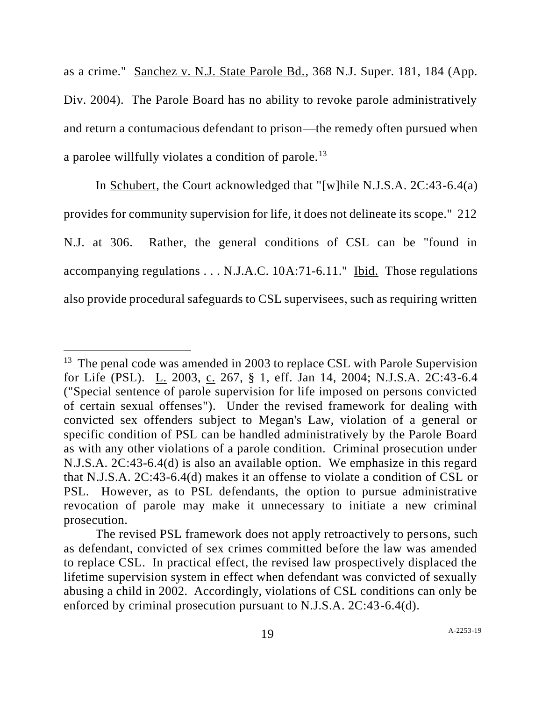as a crime." Sanchez v. N.J. State Parole Bd., 368 N.J. Super. 181, 184 (App. Div. 2004). The Parole Board has no ability to revoke parole administratively and return a contumacious defendant to prison—the remedy often pursued when a parolee willfully violates a condition of parole.<sup>13</sup>

In Schubert, the Court acknowledged that "[w]hile N.J.S.A. 2C:43-6.4(a) provides for community supervision for life, it does not delineate its scope." 212 N.J. at 306. Rather, the general conditions of CSL can be "found in accompanying regulations . . . N.J.A.C. 10A:71-6.11." Ibid. Those regulations also provide procedural safeguards to CSL supervisees, such as requiring written

 $13$  The penal code was amended in 2003 to replace CSL with Parole Supervision for Life (PSL). L. 2003, c. 267, § 1, eff. Jan 14, 2004; N.J.S.A. 2C:43-6.4 ("Special sentence of parole supervision for life imposed on persons convicted of certain sexual offenses"). Under the revised framework for dealing with convicted sex offenders subject to Megan's Law, violation of a general or specific condition of PSL can be handled administratively by the Parole Board as with any other violations of a parole condition. Criminal prosecution under N.J.S.A. 2C:43-6.4(d) is also an available option. We emphasize in this regard that N.J.S.A. 2C:43-6.4(d) makes it an offense to violate a condition of CSL or PSL. However, as to PSL defendants, the option to pursue administrative revocation of parole may make it unnecessary to initiate a new criminal prosecution.

The revised PSL framework does not apply retroactively to persons, such as defendant, convicted of sex crimes committed before the law was amended to replace CSL. In practical effect, the revised law prospectively displaced the lifetime supervision system in effect when defendant was convicted of sexually abusing a child in 2002. Accordingly, violations of CSL conditions can only be enforced by criminal prosecution pursuant to N.J.S.A. 2C:43-6.4(d).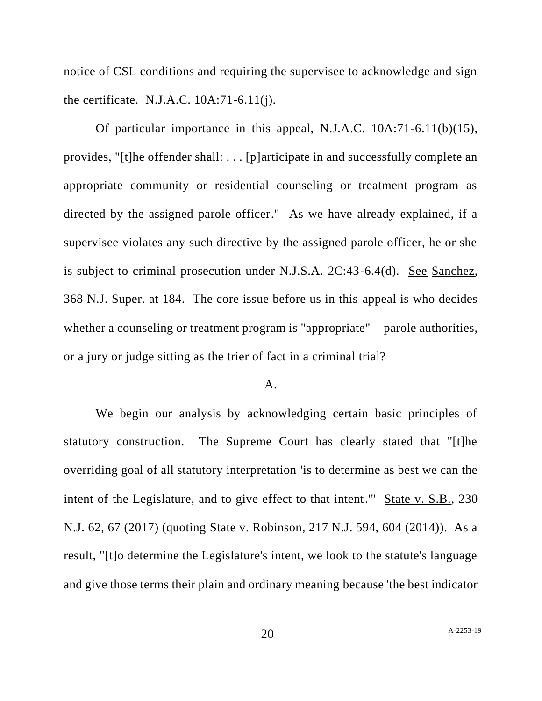notice of CSL conditions and requiring the supervisee to acknowledge and sign the certificate. N.J.A.C. 10A:71-6.11(j).

Of particular importance in this appeal, N.J.A.C. 10A:71-6.11(b)(15), provides, "[t]he offender shall: . . . [p]articipate in and successfully complete an appropriate community or residential counseling or treatment program as directed by the assigned parole officer." As we have already explained, if a supervisee violates any such directive by the assigned parole officer, he or she is subject to criminal prosecution under N.J.S.A. 2C:43-6.4(d). See Sanchez, 368 N.J. Super. at 184. The core issue before us in this appeal is who decides whether a counseling or treatment program is "appropriate"—parole authorities, or a jury or judge sitting as the trier of fact in a criminal trial?

### A.

We begin our analysis by acknowledging certain basic principles of statutory construction. The Supreme Court has clearly stated that "[t]he overriding goal of all statutory interpretation 'is to determine as best we can the intent of the Legislature, and to give effect to that intent." State v. S.B., 230 N.J. 62, 67 (2017) (quoting State v. Robinson, 217 N.J. 594, 604 (2014)). As a result, "[t]o determine the Legislature's intent, we look to the statute's language and give those terms their plain and ordinary meaning because 'the best indicator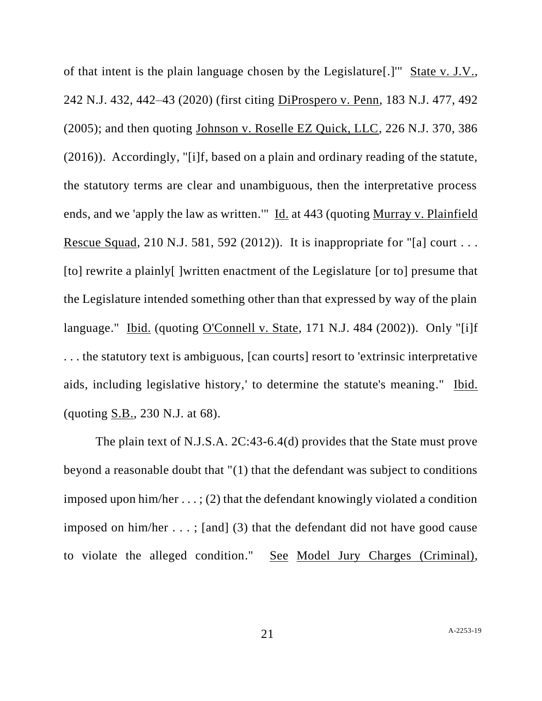of that intent is the plain language chosen by the Legislature[.]" State v. J.V., 242 N.J. 432, 442–43 (2020) (first citing DiProspero v. Penn, 183 N.J. 477, 492 (2005); and then quoting Johnson v. Roselle EZ Quick, LLC, 226 N.J. 370, 386 (2016)). Accordingly, "[i]f, based on a plain and ordinary reading of the statute, the statutory terms are clear and unambiguous, then the interpretative process ends, and we 'apply the law as written.'" Id. at 443 (quoting Murray v. Plainfield Rescue Squad, 210 N.J. 581, 592 (2012)). It is inappropriate for "[a] court ... [to] rewrite a plainly[ ]written enactment of the Legislature [or to] presume that the Legislature intended something other than that expressed by way of the plain language." Ibid. (quoting O'Connell v. State, 171 N.J. 484 (2002)). Only "[i]f . . . the statutory text is ambiguous, [can courts] resort to 'extrinsic interpretative aids, including legislative history,' to determine the statute's meaning." Ibid. (quoting S.B., 230 N.J. at 68).

The plain text of N.J.S.A. 2C:43-6.4(d) provides that the State must prove beyond a reasonable doubt that "(1) that the defendant was subject to conditions imposed upon him/her  $\dots$ ; (2) that the defendant knowingly violated a condition imposed on him/her . . . ; [and] (3) that the defendant did not have good cause to violate the alleged condition." See Model Jury Charges (Criminal),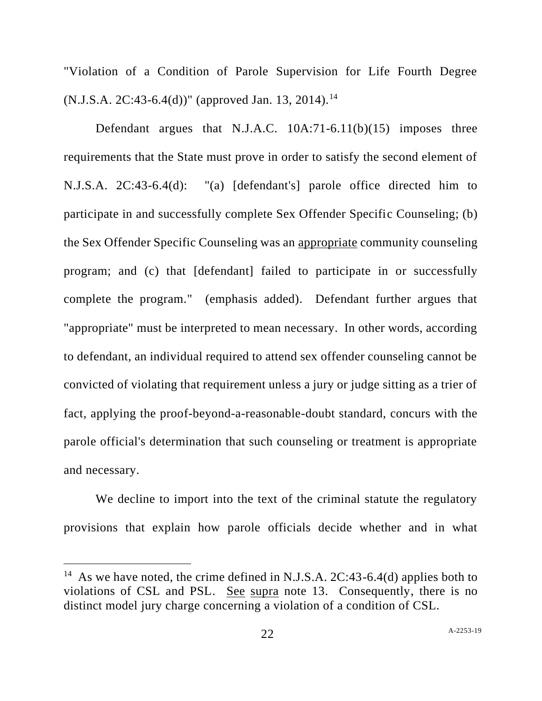"Violation of a Condition of Parole Supervision for Life Fourth Degree  $(N.J.S.A. 2C:43-6.4(d))$ " (approved Jan. 13, 2014).<sup>14</sup>

Defendant argues that N.J.A.C. 10A:71-6.11(b)(15) imposes three requirements that the State must prove in order to satisfy the second element of N.J.S.A. 2C:43-6.4(d): "(a) [defendant's] parole office directed him to participate in and successfully complete Sex Offender Specific Counseling; (b) the Sex Offender Specific Counseling was an appropriate community counseling program; and (c) that [defendant] failed to participate in or successfully complete the program." (emphasis added). Defendant further argues that "appropriate" must be interpreted to mean necessary. In other words, according to defendant, an individual required to attend sex offender counseling cannot be convicted of violating that requirement unless a jury or judge sitting as a trier of fact, applying the proof-beyond-a-reasonable-doubt standard, concurs with the parole official's determination that such counseling or treatment is appropriate and necessary.

We decline to import into the text of the criminal statute the regulatory provisions that explain how parole officials decide whether and in what

<sup>&</sup>lt;sup>14</sup> As we have noted, the crime defined in N.J.S.A. 2C:43-6.4(d) applies both to violations of CSL and PSL. See supra note 13. Consequently, there is no distinct model jury charge concerning a violation of a condition of CSL.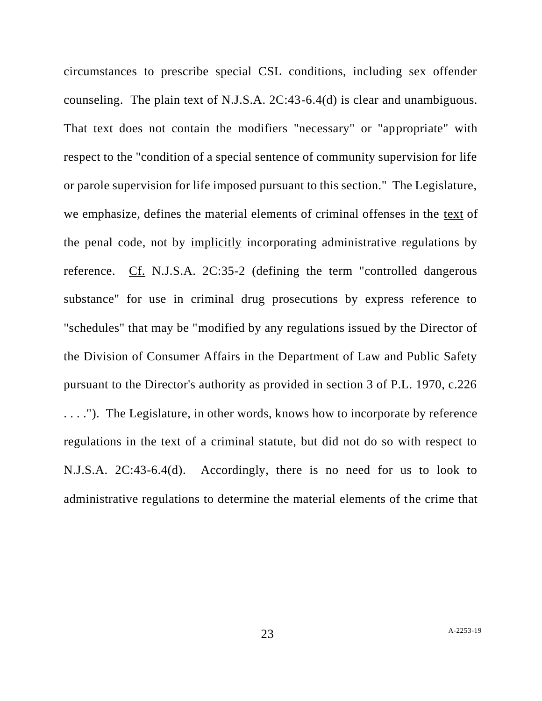circumstances to prescribe special CSL conditions, including sex offender counseling. The plain text of N.J.S.A. 2C:43-6.4(d) is clear and unambiguous. That text does not contain the modifiers "necessary" or "appropriate" with respect to the "condition of a special sentence of community supervision for life or parole supervision for life imposed pursuant to this section." The Legislature, we emphasize, defines the material elements of criminal offenses in the text of the penal code, not by implicitly incorporating administrative regulations by reference. Cf. N.J.S.A. 2C:35-2 (defining the term "controlled dangerous substance" for use in criminal drug prosecutions by express reference to "schedules" that may be "modified by any regulations issued by the Director of the Division of Consumer Affairs in the Department of Law and Public Safety pursuant to the Director's authority as provided in section 3 of P.L. 1970, c.226 . . . ."). The Legislature, in other words, knows how to incorporate by reference regulations in the text of a criminal statute, but did not do so with respect to N.J.S.A. 2C:43-6.4(d). Accordingly, there is no need for us to look to administrative regulations to determine the material elements of the crime that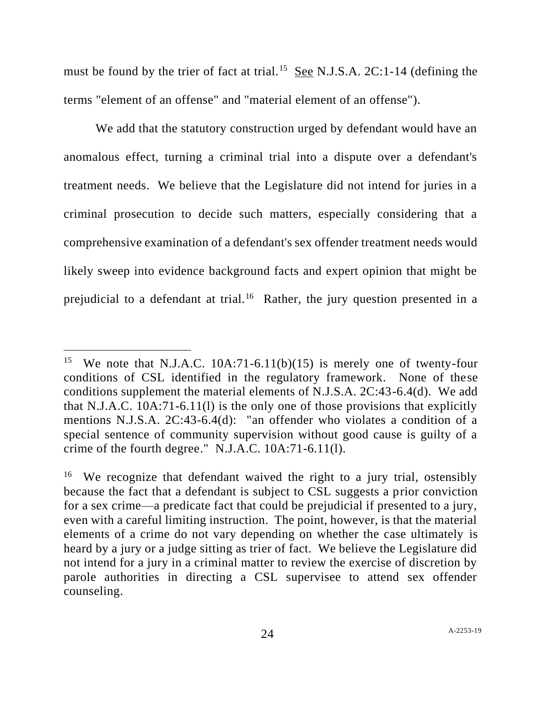must be found by the trier of fact at trial.<sup>15</sup> See N.J.S.A. 2C:1-14 (defining the terms "element of an offense" and "material element of an offense").

We add that the statutory construction urged by defendant would have an anomalous effect, turning a criminal trial into a dispute over a defendant's treatment needs. We believe that the Legislature did not intend for juries in a criminal prosecution to decide such matters, especially considering that a comprehensive examination of a defendant's sex offender treatment needs would likely sweep into evidence background facts and expert opinion that might be prejudicial to a defendant at trial.<sup>16</sup> Rather, the jury question presented in a

<sup>15</sup> We note that N.J.A.C. 10A:71-6.11(b)(15) is merely one of twenty-four conditions of CSL identified in the regulatory framework. None of these conditions supplement the material elements of N.J.S.A. 2C:43-6.4(d). We add that N.J.A.C. 10A:71-6.11(l) is the only one of those provisions that explicitly mentions N.J.S.A. 2C:43-6.4(d): "an offender who violates a condition of a special sentence of community supervision without good cause is guilty of a crime of the fourth degree." N.J.A.C. 10A:71-6.11(l).

<sup>16</sup> We recognize that defendant waived the right to a jury trial, ostensibly because the fact that a defendant is subject to CSL suggests a prior conviction for a sex crime—a predicate fact that could be prejudicial if presented to a jury, even with a careful limiting instruction. The point, however, is that the material elements of a crime do not vary depending on whether the case ultimately is heard by a jury or a judge sitting as trier of fact. We believe the Legislature did not intend for a jury in a criminal matter to review the exercise of discretion by parole authorities in directing a CSL supervisee to attend sex offender counseling.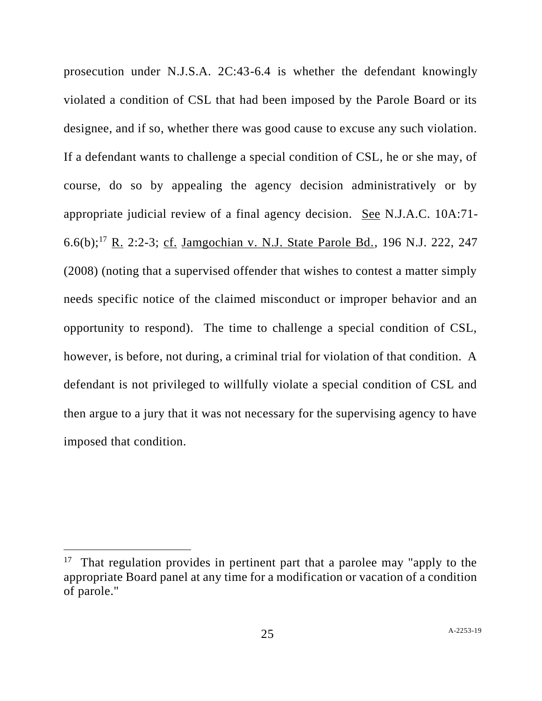prosecution under N.J.S.A. 2C:43-6.4 is whether the defendant knowingly violated a condition of CSL that had been imposed by the Parole Board or its designee, and if so, whether there was good cause to excuse any such violation. If a defendant wants to challenge a special condition of CSL, he or she may, of course, do so by appealing the agency decision administratively or by appropriate judicial review of a final agency decision. See N.J.A.C. 10A:71- 6.6(b);<sup>17</sup> R. 2:2-3; cf. Jamgochian v. N.J. State Parole Bd., 196 N.J. 222, 247 (2008) (noting that a supervised offender that wishes to contest a matter simply needs specific notice of the claimed misconduct or improper behavior and an opportunity to respond). The time to challenge a special condition of CSL, however, is before, not during, a criminal trial for violation of that condition. A defendant is not privileged to willfully violate a special condition of CSL and then argue to a jury that it was not necessary for the supervising agency to have imposed that condition.

<sup>&</sup>lt;sup>17</sup> That regulation provides in pertinent part that a parolee may "apply to the appropriate Board panel at any time for a modification or vacation of a condition of parole."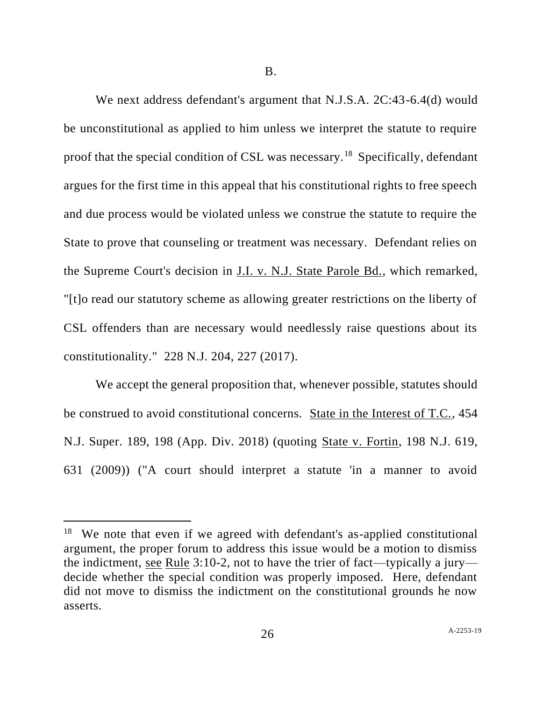We next address defendant's argument that N.J.S.A. 2C:43-6.4(d) would be unconstitutional as applied to him unless we interpret the statute to require proof that the special condition of CSL was necessary.<sup>18</sup> Specifically, defendant argues for the first time in this appeal that his constitutional rights to free speech and due process would be violated unless we construe the statute to require the State to prove that counseling or treatment was necessary. Defendant relies on the Supreme Court's decision in J.I. v. N.J. State Parole Bd., which remarked, "[t]o read our statutory scheme as allowing greater restrictions on the liberty of CSL offenders than are necessary would needlessly raise questions about its constitutionality." 228 N.J. 204, 227 (2017).

We accept the general proposition that, whenever possible, statutes should be construed to avoid constitutional concerns. State in the Interest of T.C., 454 N.J. Super. 189, 198 (App. Div. 2018) (quoting State v. Fortin, 198 N.J. 619, 631 (2009)) ("A court should interpret a statute 'in a manner to avoid

<sup>&</sup>lt;sup>18</sup> We note that even if we agreed with defendant's as-applied constitutional argument, the proper forum to address this issue would be a motion to dismiss the indictment, see Rule 3:10-2, not to have the trier of fact—typically a jury decide whether the special condition was properly imposed. Here, defendant did not move to dismiss the indictment on the constitutional grounds he now asserts.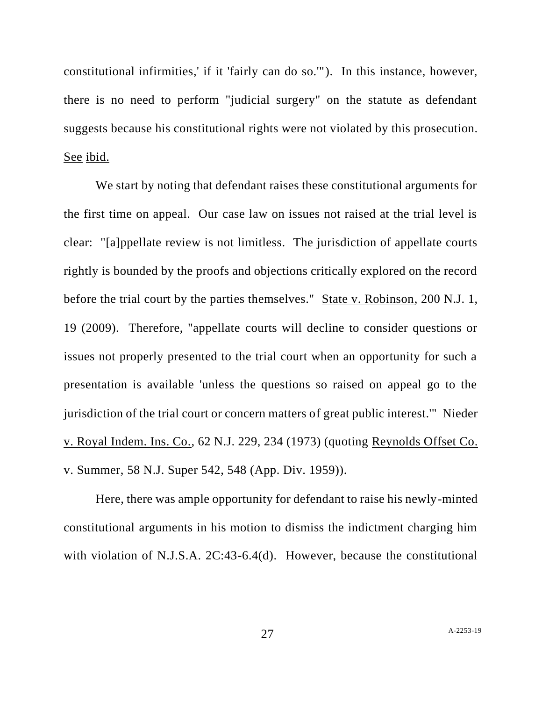constitutional infirmities,' if it 'fairly can do so.'"). In this instance, however, there is no need to perform "judicial surgery" on the statute as defendant suggests because his constitutional rights were not violated by this prosecution. See ibid.

We start by noting that defendant raises these constitutional arguments for the first time on appeal. Our case law on issues not raised at the trial level is clear: "[a]ppellate review is not limitless. The jurisdiction of appellate courts rightly is bounded by the proofs and objections critically explored on the record before the trial court by the parties themselves." State v. Robinson, 200 N.J. 1, 19 (2009). Therefore, "appellate courts will decline to consider questions or issues not properly presented to the trial court when an opportunity for such a presentation is available 'unless the questions so raised on appeal go to the jurisdiction of the trial court or concern matters of great public interest.'" Nieder v. Royal Indem. Ins. Co., 62 N.J. 229, 234 (1973) (quoting Reynolds Offset Co. v. Summer, 58 N.J. Super 542, 548 (App. Div. 1959)).

Here, there was ample opportunity for defendant to raise his newly-minted constitutional arguments in his motion to dismiss the indictment charging him with violation of N.J.S.A. 2C:43-6.4(d). However, because the constitutional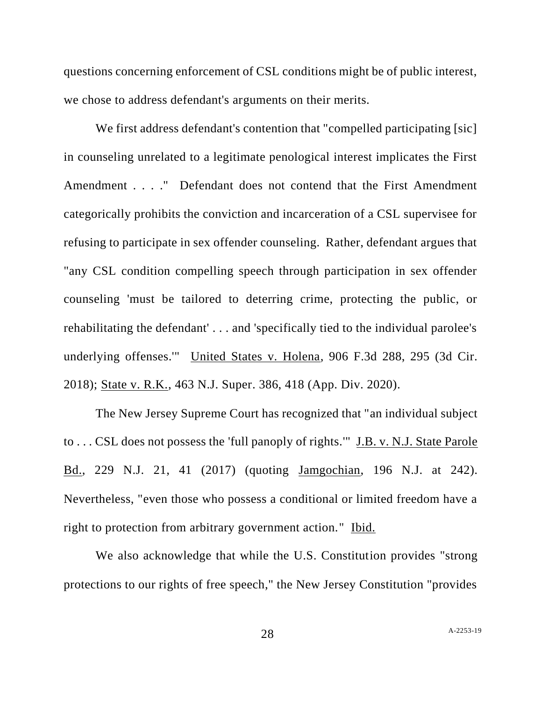questions concerning enforcement of CSL conditions might be of public interest, we chose to address defendant's arguments on their merits.

We first address defendant's contention that "compelled participating [sic] in counseling unrelated to a legitimate penological interest implicates the First Amendment . . . ." Defendant does not contend that the First Amendment categorically prohibits the conviction and incarceration of a CSL supervisee for refusing to participate in sex offender counseling. Rather, defendant argues that "any CSL condition compelling speech through participation in sex offender counseling 'must be tailored to deterring crime, protecting the public, or rehabilitating the defendant' . . . and 'specifically tied to the individual parolee's underlying offenses.'" United States v. Holena, 906 F.3d 288, 295 (3d Cir. 2018); State v. R.K., 463 N.J. Super. 386, 418 (App. Div. 2020).

The New Jersey Supreme Court has recognized that "an individual subject to . . . CSL does not possess the 'full panoply of rights.'" J.B. v. N.J. State Parole Bd., 229 N.J. 21, 41 (2017) (quoting Jamgochian, 196 N.J. at 242). Nevertheless, "even those who possess a conditional or limited freedom have a right to protection from arbitrary government action." Ibid.

We also acknowledge that while the U.S. Constitution provides "strong protections to our rights of free speech," the New Jersey Constitution "provides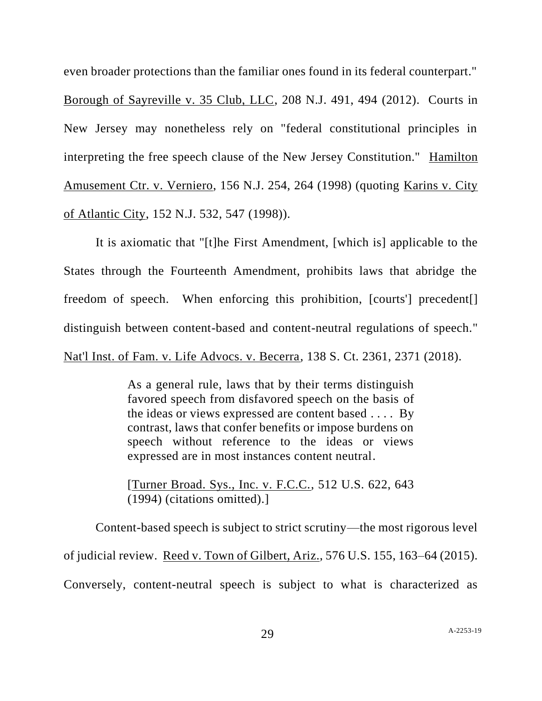even broader protections than the familiar ones found in its federal counterpart."

Borough of Sayreville v. 35 Club, LLC, 208 N.J. 491, 494 (2012). Courts in New Jersey may nonetheless rely on "federal constitutional principles in interpreting the free speech clause of the New Jersey Constitution." Hamilton Amusement Ctr. v. Verniero, 156 N.J. 254, 264 (1998) (quoting Karins v. City of Atlantic City, 152 N.J. 532, 547 (1998)).

It is axiomatic that "[t]he First Amendment, [which is] applicable to the States through the Fourteenth Amendment, prohibits laws that abridge the freedom of speech. When enforcing this prohibition, [courts'] precedent[] distinguish between content-based and content-neutral regulations of speech." Nat'l Inst. of Fam. v. Life Advocs. v. Becerra, 138 S. Ct. 2361, 2371 (2018).

> As a general rule, laws that by their terms distinguish favored speech from disfavored speech on the basis of the ideas or views expressed are content based . . . . By contrast, laws that confer benefits or impose burdens on speech without reference to the ideas or views expressed are in most instances content neutral.

> [Turner Broad. Sys., Inc. v. F.C.C., 512 U.S. 622, 643 (1994) (citations omitted).]

Content-based speech is subject to strict scrutiny—the most rigorous level of judicial review. Reed v. Town of Gilbert, Ariz., 576 U.S. 155, 163–64 (2015). Conversely, content-neutral speech is subject to what is characterized as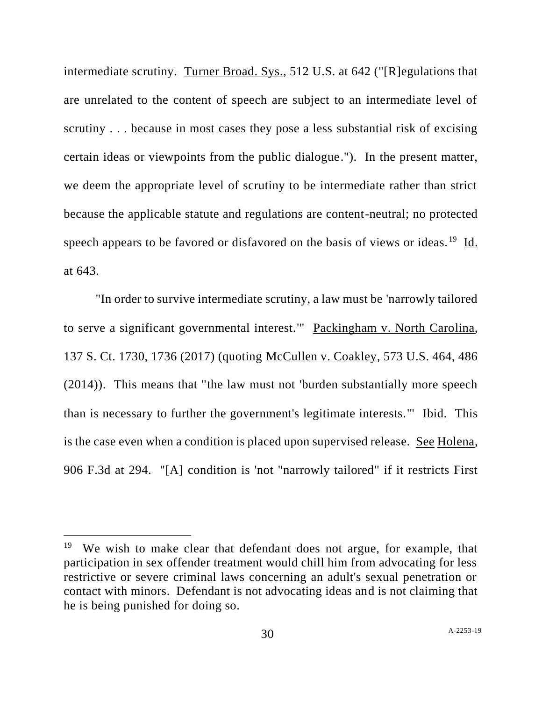intermediate scrutiny. Turner Broad. Sys., 512 U.S. at 642 ("[R]egulations that are unrelated to the content of speech are subject to an intermediate level of scrutiny . . . because in most cases they pose a less substantial risk of excising certain ideas or viewpoints from the public dialogue."). In the present matter, we deem the appropriate level of scrutiny to be intermediate rather than strict because the applicable statute and regulations are content-neutral; no protected speech appears to be favored or disfavored on the basis of views or ideas.<sup>19</sup> Id. at 643.

"In order to survive intermediate scrutiny, a law must be 'narrowly tailored to serve a significant governmental interest.'" Packingham v. North Carolina, 137 S. Ct. 1730, 1736 (2017) (quoting McCullen v. Coakley, 573 U.S. 464, 486 (2014)). This means that "the law must not 'burden substantially more speech than is necessary to further the government's legitimate interests.'" Ibid. This is the case even when a condition is placed upon supervised release. See Holena, 906 F.3d at 294. "[A] condition is 'not "narrowly tailored" if it restricts First

<sup>&</sup>lt;sup>19</sup> We wish to make clear that defendant does not argue, for example, that participation in sex offender treatment would chill him from advocating for less restrictive or severe criminal laws concerning an adult's sexual penetration or contact with minors. Defendant is not advocating ideas and is not claiming that he is being punished for doing so.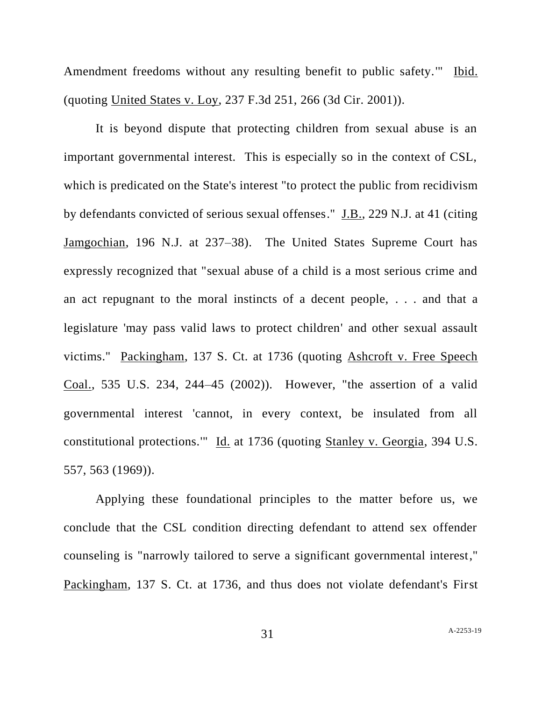Amendment freedoms without any resulting benefit to public safety.'" Ibid. (quoting United States v. Loy, 237 F.3d 251, 266 (3d Cir. 2001)).

It is beyond dispute that protecting children from sexual abuse is an important governmental interest. This is especially so in the context of CSL, which is predicated on the State's interest "to protect the public from recidivism by defendants convicted of serious sexual offenses." J.B., 229 N.J. at 41 (citing Jamgochian, 196 N.J. at 237–38). The United States Supreme Court has expressly recognized that "sexual abuse of a child is a most serious crime and an act repugnant to the moral instincts of a decent people, . . . and that a legislature 'may pass valid laws to protect children' and other sexual assault victims." Packingham, 137 S. Ct. at 1736 (quoting Ashcroft v. Free Speech Coal., 535 U.S. 234, 244–45 (2002)). However, "the assertion of a valid governmental interest 'cannot, in every context, be insulated from all constitutional protections.'" Id. at 1736 (quoting Stanley v. Georgia, 394 U.S. 557, 563 (1969)).

Applying these foundational principles to the matter before us, we conclude that the CSL condition directing defendant to attend sex offender counseling is "narrowly tailored to serve a significant governmental interest," Packingham, 137 S. Ct. at 1736, and thus does not violate defendant's First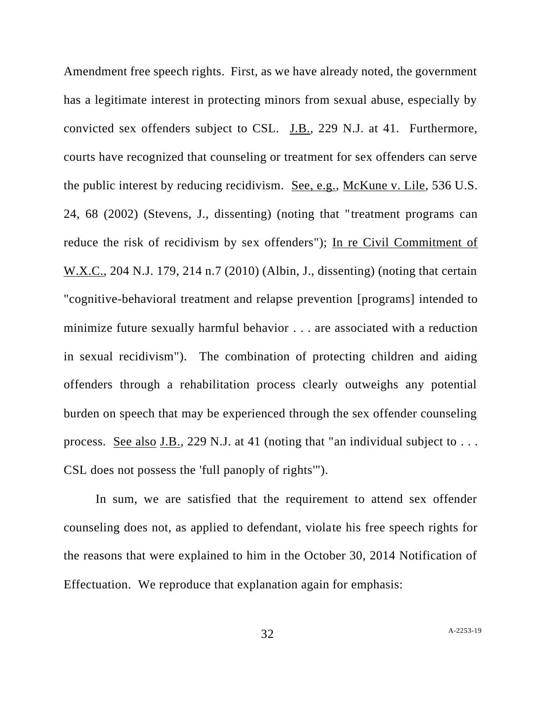Amendment free speech rights. First, as we have already noted, the government has a legitimate interest in protecting minors from sexual abuse, especially by convicted sex offenders subject to CSL. J.B., 229 N.J. at 41. Furthermore, courts have recognized that counseling or treatment for sex offenders can serve the public interest by reducing recidivism. See, e.g., McKune v. Lile, 536 U.S. 24, 68 (2002) (Stevens, J., dissenting) (noting that "treatment programs can reduce the risk of recidivism by sex offenders"); In re Civil Commitment of W.X.C., 204 N.J. 179, 214 n.7 (2010) (Albin, J., dissenting) (noting that certain "cognitive-behavioral treatment and relapse prevention [programs] intended to minimize future sexually harmful behavior . . . are associated with a reduction in sexual recidivism"). The combination of protecting children and aiding offenders through a rehabilitation process clearly outweighs any potential burden on speech that may be experienced through the sex offender counseling process. <u>See also J.B.</u>, 229 N.J. at 41 (noting that "an individual subject to  $\dots$ CSL does not possess the 'full panoply of rights'").

In sum, we are satisfied that the requirement to attend sex offender counseling does not, as applied to defendant, violate his free speech rights for the reasons that were explained to him in the October 30, 2014 Notification of Effectuation. We reproduce that explanation again for emphasis: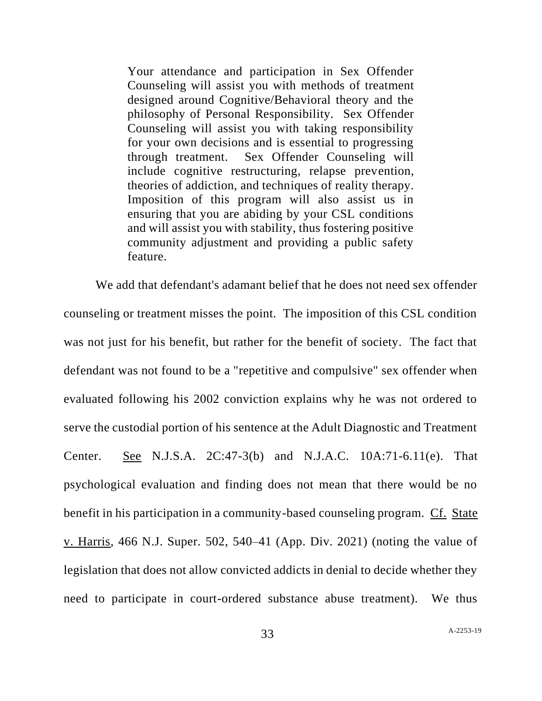Your attendance and participation in Sex Offender Counseling will assist you with methods of treatment designed around Cognitive/Behavioral theory and the philosophy of Personal Responsibility. Sex Offender Counseling will assist you with taking responsibility for your own decisions and is essential to progressing through treatment. Sex Offender Counseling will include cognitive restructuring, relapse prevention, theories of addiction, and techniques of reality therapy. Imposition of this program will also assist us in ensuring that you are abiding by your CSL conditions and will assist you with stability, thus fostering positive community adjustment and providing a public safety feature.

We add that defendant's adamant belief that he does not need sex offender counseling or treatment misses the point. The imposition of this CSL condition was not just for his benefit, but rather for the benefit of society. The fact that defendant was not found to be a "repetitive and compulsive" sex offender when evaluated following his 2002 conviction explains why he was not ordered to serve the custodial portion of his sentence at the Adult Diagnostic and Treatment Center. See N.J.S.A. 2C:47-3(b) and N.J.A.C. 10A:71-6.11(e). That psychological evaluation and finding does not mean that there would be no benefit in his participation in a community-based counseling program. Cf. State v. Harris, 466 N.J. Super. 502, 540–41 (App. Div. 2021) (noting the value of legislation that does not allow convicted addicts in denial to decide whether they need to participate in court-ordered substance abuse treatment). We thus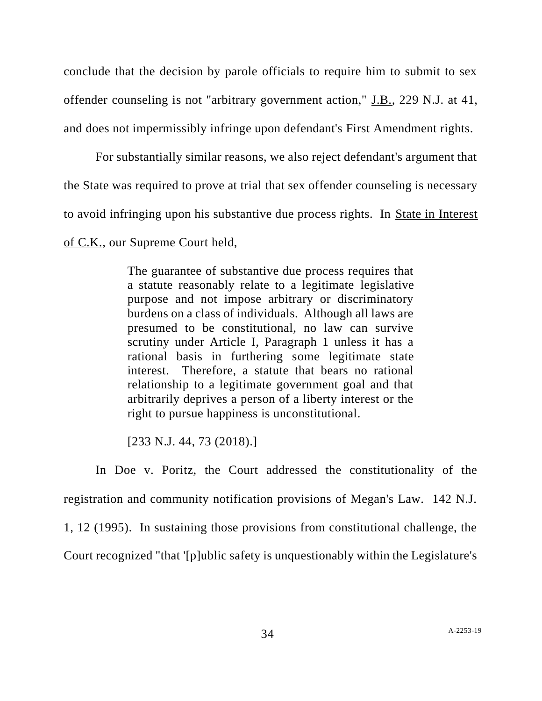conclude that the decision by parole officials to require him to submit to sex offender counseling is not "arbitrary government action," J.B., 229 N.J. at 41, and does not impermissibly infringe upon defendant's First Amendment rights.

For substantially similar reasons, we also reject defendant's argument that the State was required to prove at trial that sex offender counseling is necessary to avoid infringing upon his substantive due process rights. In State in Interest of C.K., our Supreme Court held,

> The guarantee of substantive due process requires that a statute reasonably relate to a legitimate legislative purpose and not impose arbitrary or discriminatory burdens on a class of individuals. Although all laws are presumed to be constitutional, no law can survive scrutiny under Article I, Paragraph 1 unless it has a rational basis in furthering some legitimate state interest. Therefore, a statute that bears no rational relationship to a legitimate government goal and that arbitrarily deprives a person of a liberty interest or the right to pursue happiness is unconstitutional.

[233 N.J. 44, 73 (2018).]

In Doe v. Poritz, the Court addressed the constitutionality of the registration and community notification provisions of Megan's Law. 142 N.J. 1, 12 (1995). In sustaining those provisions from constitutional challenge, the Court recognized "that '[p]ublic safety is unquestionably within the Legislature's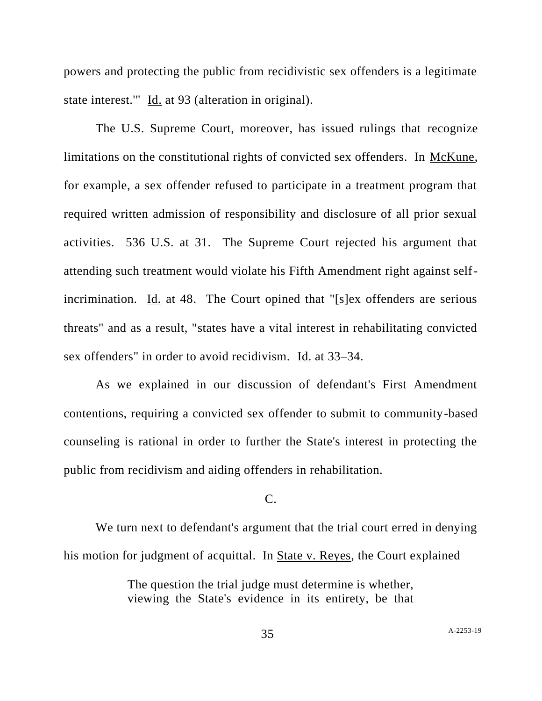powers and protecting the public from recidivistic sex offenders is a legitimate state interest.'" Id. at 93 (alteration in original).

The U.S. Supreme Court, moreover, has issued rulings that recognize limitations on the constitutional rights of convicted sex offenders. In McKune, for example, a sex offender refused to participate in a treatment program that required written admission of responsibility and disclosure of all prior sexual activities. 536 U.S. at 31. The Supreme Court rejected his argument that attending such treatment would violate his Fifth Amendment right against selfincrimination. Id. at 48. The Court opined that "[s]ex offenders are serious threats" and as a result, "states have a vital interest in rehabilitating convicted sex offenders" in order to avoid recidivism. Id. at 33–34.

As we explained in our discussion of defendant's First Amendment contentions, requiring a convicted sex offender to submit to community-based counseling is rational in order to further the State's interest in protecting the public from recidivism and aiding offenders in rehabilitation.

# C.

We turn next to defendant's argument that the trial court erred in denying his motion for judgment of acquittal. In State v. Reyes, the Court explained

> The question the trial judge must determine is whether, viewing the State's evidence in its entirety, be that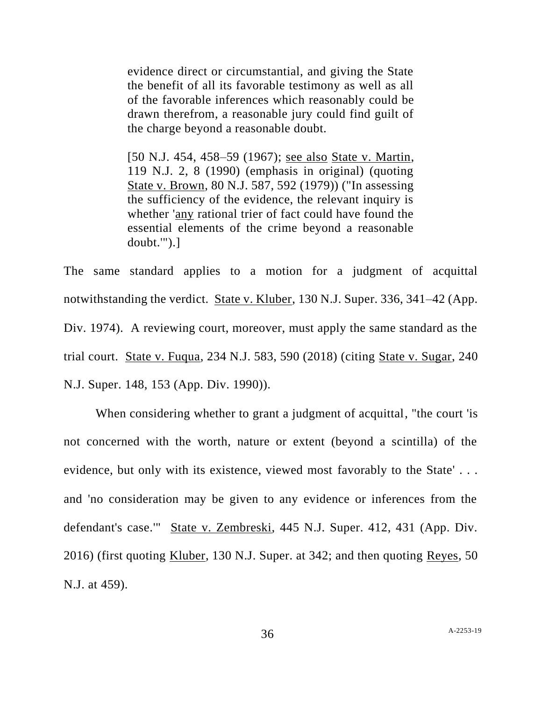evidence direct or circumstantial, and giving the State the benefit of all its favorable testimony as well as all of the favorable inferences which reasonably could be drawn therefrom, a reasonable jury could find guilt of the charge beyond a reasonable doubt.

[50 N.J. 454, 458–59 (1967); see also State v. Martin, 119 N.J. 2, 8 (1990) (emphasis in original) (quoting State v. Brown, 80 N.J. 587, 592 (1979)) ("In assessing the sufficiency of the evidence, the relevant inquiry is whether 'any rational trier of fact could have found the essential elements of the crime beyond a reasonable doubt.'").]

The same standard applies to a motion for a judgment of acquittal notwithstanding the verdict. State v. Kluber, 130 N.J. Super. 336, 341–42 (App. Div. 1974). A reviewing court, moreover, must apply the same standard as the trial court. State v. Fuqua, 234 N.J. 583, 590 (2018) (citing State v. Sugar, 240 N.J. Super. 148, 153 (App. Div. 1990)).

When considering whether to grant a judgment of acquittal, "the court 'is not concerned with the worth, nature or extent (beyond a scintilla) of the evidence, but only with its existence, viewed most favorably to the State' . . . and 'no consideration may be given to any evidence or inferences from the defendant's case.'" State v. Zembreski, 445 N.J. Super. 412, 431 (App. Div. 2016) (first quoting Kluber, 130 N.J. Super. at 342; and then quoting Reyes, 50 N.J. at 459).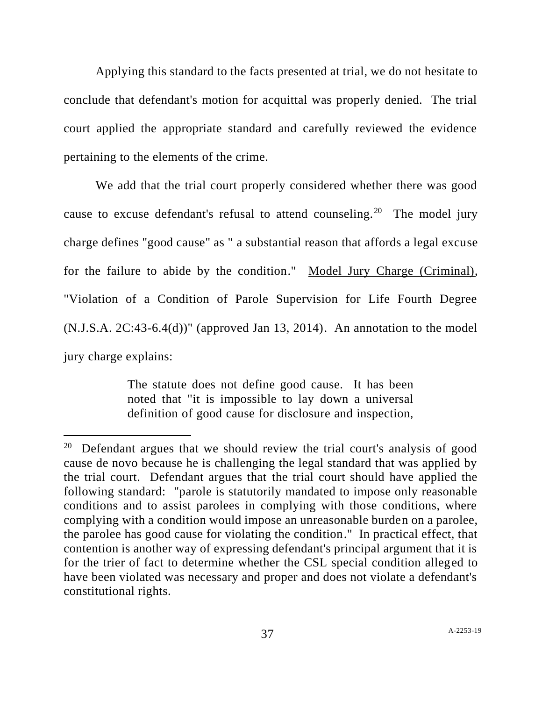Applying this standard to the facts presented at trial, we do not hesitate to conclude that defendant's motion for acquittal was properly denied. The trial court applied the appropriate standard and carefully reviewed the evidence pertaining to the elements of the crime.

We add that the trial court properly considered whether there was good cause to excuse defendant's refusal to attend counseling.<sup>20</sup> The model jury charge defines "good cause" as " a substantial reason that affords a legal excuse for the failure to abide by the condition." Model Jury Charge (Criminal), "Violation of a Condition of Parole Supervision for Life Fourth Degree (N.J.S.A. 2C:43-6.4(d))" (approved Jan 13, 2014). An annotation to the model jury charge explains:

> The statute does not define good cause. It has been noted that "it is impossible to lay down a universal definition of good cause for disclosure and inspection,

<sup>&</sup>lt;sup>20</sup> Defendant argues that we should review the trial court's analysis of good cause de novo because he is challenging the legal standard that was applied by the trial court. Defendant argues that the trial court should have applied the following standard: "parole is statutorily mandated to impose only reasonable conditions and to assist parolees in complying with those conditions, where complying with a condition would impose an unreasonable burden on a parolee, the parolee has good cause for violating the condition." In practical effect, that contention is another way of expressing defendant's principal argument that it is for the trier of fact to determine whether the CSL special condition alleged to have been violated was necessary and proper and does not violate a defendant's constitutional rights.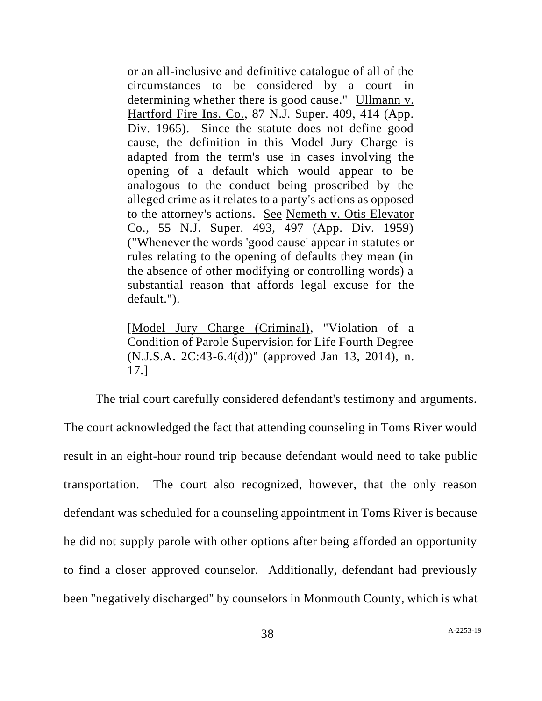or an all-inclusive and definitive catalogue of all of the circumstances to be considered by a court in determining whether there is good cause." Ullmann v. Hartford Fire Ins. Co., 87 N.J. Super. 409, 414 (App. Div. 1965). Since the statute does not define good cause, the definition in this Model Jury Charge is adapted from the term's use in cases involving the opening of a default which would appear to be analogous to the conduct being proscribed by the alleged crime as it relates to a party's actions as opposed to the attorney's actions. See Nemeth v. Otis Elevator Co., 55 N.J. Super. 493, 497 (App. Div. 1959) ("Whenever the words 'good cause' appear in statutes or rules relating to the opening of defaults they mean (in the absence of other modifying or controlling words) a substantial reason that affords legal excuse for the default.").

[Model Jury Charge (Criminal), "Violation of a Condition of Parole Supervision for Life Fourth Degree (N.J.S.A. 2C:43-6.4(d))" (approved Jan 13, 2014), n. 17.]

The trial court carefully considered defendant's testimony and arguments. The court acknowledged the fact that attending counseling in Toms River would result in an eight-hour round trip because defendant would need to take public transportation. The court also recognized, however, that the only reason defendant was scheduled for a counseling appointment in Toms River is because he did not supply parole with other options after being afforded an opportunity to find a closer approved counselor. Additionally, defendant had previously been "negatively discharged" by counselors in Monmouth County, which is what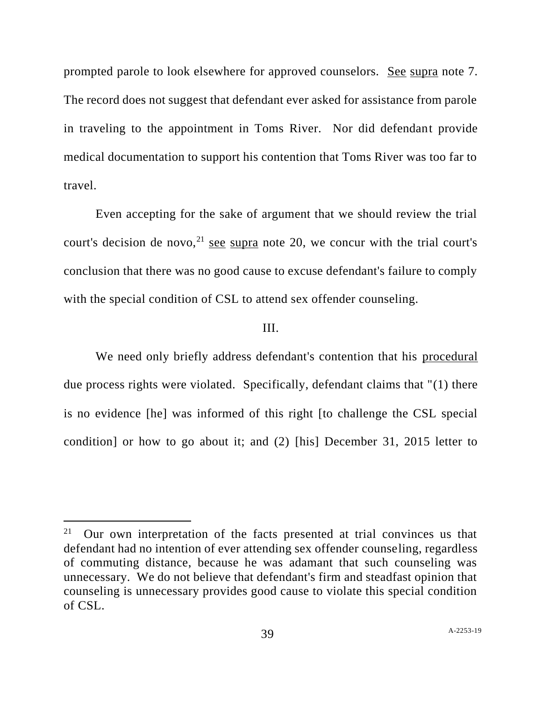prompted parole to look elsewhere for approved counselors. See supra note 7. The record does not suggest that defendant ever asked for assistance from parole in traveling to the appointment in Toms River. Nor did defendant provide medical documentation to support his contention that Toms River was too far to travel.

Even accepting for the sake of argument that we should review the trial court's decision de novo,  $2^{1}$  see supra note 20, we concur with the trial court's conclusion that there was no good cause to excuse defendant's failure to comply with the special condition of CSL to attend sex offender counseling.

## III.

We need only briefly address defendant's contention that his procedural due process rights were violated. Specifically, defendant claims that "(1) there is no evidence [he] was informed of this right [to challenge the CSL special condition] or how to go about it; and (2) [his] December 31, 2015 letter to

<sup>21</sup> Our own interpretation of the facts presented at trial convinces us that defendant had no intention of ever attending sex offender counseling, regardless of commuting distance, because he was adamant that such counseling was unnecessary. We do not believe that defendant's firm and steadfast opinion that counseling is unnecessary provides good cause to violate this special condition of CSL.